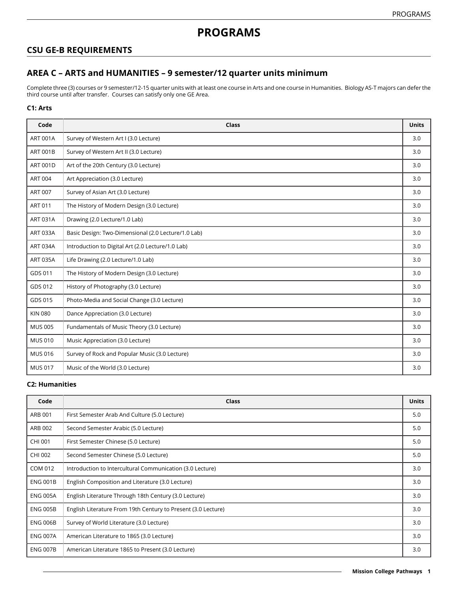## **CSU GE-B REQUIREMENTS**

# **AREA C – ARTS and HUMANITIES – 9 semester/12 quarter units minimum**

Complete three (3) courses or 9 semester/12-15 quarter units with at least one course in Arts and one course in Humanities. Biology AS-T majors can defer the third course until after transfer. Courses can satisfy only one GE Area.

### **C1: Arts**

| Code            | Class                                               | <b>Units</b> |
|-----------------|-----------------------------------------------------|--------------|
| <b>ART 001A</b> | Survey of Western Art I (3.0 Lecture)               | 3.0          |
| <b>ART 001B</b> | Survey of Western Art II (3.0 Lecture)              | 3.0          |
| <b>ART 001D</b> | Art of the 20th Century (3.0 Lecture)               | 3.0          |
| <b>ART 004</b>  | Art Appreciation (3.0 Lecture)                      | 3.0          |
| <b>ART 007</b>  | Survey of Asian Art (3.0 Lecture)                   | 3.0          |
| <b>ART 011</b>  | The History of Modern Design (3.0 Lecture)          | 3.0          |
| <b>ART 031A</b> | Drawing (2.0 Lecture/1.0 Lab)                       | 3.0          |
| <b>ART 033A</b> | Basic Design: Two-Dimensional (2.0 Lecture/1.0 Lab) | 3.0          |
| <b>ART 034A</b> | Introduction to Digital Art (2.0 Lecture/1.0 Lab)   | 3.0          |
| <b>ART 035A</b> | Life Drawing (2.0 Lecture/1.0 Lab)                  | 3.0          |
| GDS 011         | The History of Modern Design (3.0 Lecture)          | 3.0          |
| GDS 012         | History of Photography (3.0 Lecture)                | 3.0          |
| GDS 015         | Photo-Media and Social Change (3.0 Lecture)         | 3.0          |
| <b>KIN 080</b>  | Dance Appreciation (3.0 Lecture)                    | 3.0          |
| <b>MUS 005</b>  | Fundamentals of Music Theory (3.0 Lecture)          | 3.0          |
| <b>MUS 010</b>  | Music Appreciation (3.0 Lecture)                    | 3.0          |
| <b>MUS 016</b>  | Survey of Rock and Popular Music (3.0 Lecture)      | 3.0          |
| <b>MUS 017</b>  | Music of the World (3.0 Lecture)                    | 3.0          |

#### **C2: Humanities**

| Code            | <b>Class</b>                                                  | <b>Units</b> |
|-----------------|---------------------------------------------------------------|--------------|
| ARB 001         | First Semester Arab And Culture (5.0 Lecture)                 | 5.0          |
| ARB 002         | Second Semester Arabic (5.0 Lecture)                          | 5.0          |
| CHI 001         | First Semester Chinese (5.0 Lecture)                          | 5.0          |
| CHI 002         | Second Semester Chinese (5.0 Lecture)                         | 5.0          |
| COM 012         | Introduction to Intercultural Communication (3.0 Lecture)     | 3.0          |
| <b>ENG 001B</b> | English Composition and Literature (3.0 Lecture)              | 3.0          |
| <b>ENG 005A</b> | English Literature Through 18th Century (3.0 Lecture)         | 3.0          |
| <b>ENG 005B</b> | English Literature From 19th Century to Present (3.0 Lecture) | 3.0          |
| <b>ENG 006B</b> | Survey of World Literature (3.0 Lecture)                      | 3.0          |
| <b>ENG 007A</b> | American Literature to 1865 (3.0 Lecture)                     | 3.0          |
| <b>ENG 007B</b> | American Literature 1865 to Present (3.0 Lecture)             | 3.0          |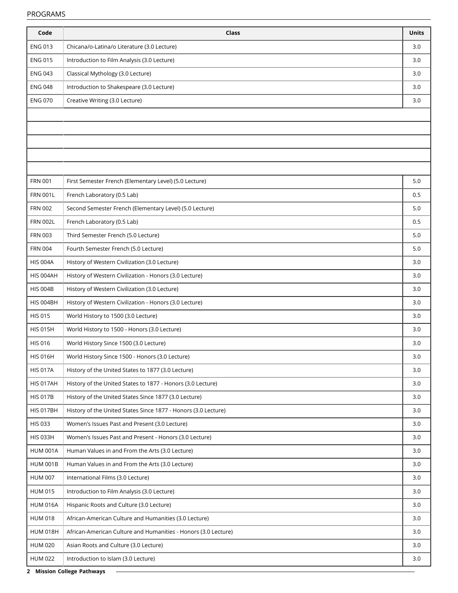| Code             | Class                                                          | <b>Units</b> |
|------------------|----------------------------------------------------------------|--------------|
| <b>ENG 013</b>   | Chicana/o-Latina/o Literature (3.0 Lecture)                    | 3.0          |
| <b>ENG 015</b>   | Introduction to Film Analysis (3.0 Lecture)                    | 3.0          |
| <b>ENG 043</b>   | Classical Mythology (3.0 Lecture)                              | 3.0          |
| <b>ENG 048</b>   | Introduction to Shakespeare (3.0 Lecture)                      | 3.0          |
| <b>ENG 070</b>   | Creative Writing (3.0 Lecture)                                 | 3.0          |
|                  |                                                                |              |
|                  |                                                                |              |
|                  |                                                                |              |
|                  |                                                                |              |
|                  |                                                                |              |
| <b>FRN 001</b>   | First Semester French (Elementary Level) (5.0 Lecture)         | 5.0          |
| <b>FRN 001L</b>  | French Laboratory (0.5 Lab)                                    | 0.5          |
| <b>FRN 002</b>   | Second Semester French (Elementary Level) (5.0 Lecture)        | 5.0          |
| <b>FRN 002L</b>  | French Laboratory (0.5 Lab)                                    | 0.5          |
| <b>FRN 003</b>   | Third Semester French (5.0 Lecture)                            | 5.0          |
| <b>FRN 004</b>   | Fourth Semester French (5.0 Lecture)                           | 5.0          |
| <b>HIS 004A</b>  | History of Western Civilization (3.0 Lecture)                  | 3.0          |
| HIS 004AH        | History of Western Civilization - Honors (3.0 Lecture)         | 3.0          |
| <b>HIS 004B</b>  | History of Western Civilization (3.0 Lecture)                  | 3.0          |
| HIS 004BH        | History of Western Civilization - Honors (3.0 Lecture)         | 3.0          |
| <b>HIS 015</b>   | World History to 1500 (3.0 Lecture)                            | 3.0          |
| <b>HIS 015H</b>  | World History to 1500 - Honors (3.0 Lecture)                   | 3.0          |
| <b>HIS 016</b>   | World History Since 1500 (3.0 Lecture)                         | 3.0          |
| <b>HIS 016H</b>  | World History Since 1500 - Honors (3.0 Lecture)                | 3.0          |
| <b>HIS 017A</b>  | History of the United States to 1877 (3.0 Lecture)             | 3.0          |
| <b>HIS 017AH</b> | History of the United States to 1877 - Honors (3.0 Lecture)    | 3.0          |
| <b>HIS 017B</b>  | History of the United States Since 1877 (3.0 Lecture)          | 3.0          |
| <b>HIS 017BH</b> | History of the United States Since 1877 - Honors (3.0 Lecture) | 3.0          |
| <b>HIS 033</b>   | Women's Issues Past and Present (3.0 Lecture)                  | 3.0          |
| <b>HIS 033H</b>  | Women's Issues Past and Present - Honors (3.0 Lecture)         | 3.0          |
| <b>HUM 001A</b>  | Human Values in and From the Arts (3.0 Lecture)                | 3.0          |
| <b>HUM 001B</b>  | Human Values in and From the Arts (3.0 Lecture)                | 3.0          |
| <b>HUM 007</b>   | International Films (3.0 Lecture)                              | 3.0          |
| <b>HUM 015</b>   | Introduction to Film Analysis (3.0 Lecture)                    | 3.0          |
| <b>HUM 016A</b>  | Hispanic Roots and Culture (3.0 Lecture)                       | 3.0          |
| <b>HUM 018</b>   | African-American Culture and Humanities (3.0 Lecture)          | 3.0          |
| <b>HUM 018H</b>  | African-American Culture and Humanities - Honors (3.0 Lecture) | 3.0          |
| <b>HUM 020</b>   | Asian Roots and Culture (3.0 Lecture)                          | 3.0          |
| <b>HUM 022</b>   | Introduction to Islam (3.0 Lecture)                            | 3.0          |